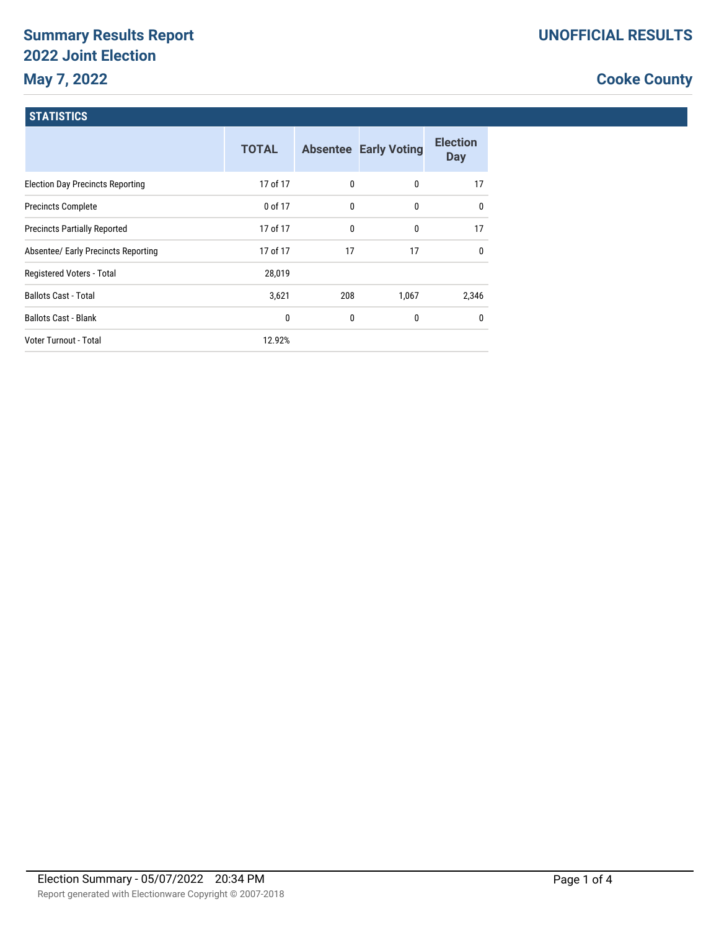# **Summary Results Report 2022 Joint Election May 7, 2022**

## **Cooke County**

### **STATISTICS**

|                                         | <b>TOTAL</b> |     | <b>Absentee Early Voting</b> | <b>Election</b><br><b>Day</b> |
|-----------------------------------------|--------------|-----|------------------------------|-------------------------------|
| <b>Election Day Precincts Reporting</b> | 17 of 17     | 0   | $\mathbf{0}$                 | 17                            |
| <b>Precincts Complete</b>               | 0 of 17      | 0   | $\mathbf{0}$                 | $\mathbf{0}$                  |
| <b>Precincts Partially Reported</b>     | 17 of 17     | 0   | 0                            | 17                            |
| Absentee/ Early Precincts Reporting     | 17 of 17     | 17  | 17                           | $\mathbf{0}$                  |
| Registered Voters - Total               | 28,019       |     |                              |                               |
| <b>Ballots Cast - Total</b>             | 3,621        | 208 | 1,067                        | 2,346                         |
| <b>Ballots Cast - Blank</b>             | 0            | 0   | 0                            | $\mathbf{0}$                  |
| Voter Turnout - Total                   | 12.92%       |     |                              |                               |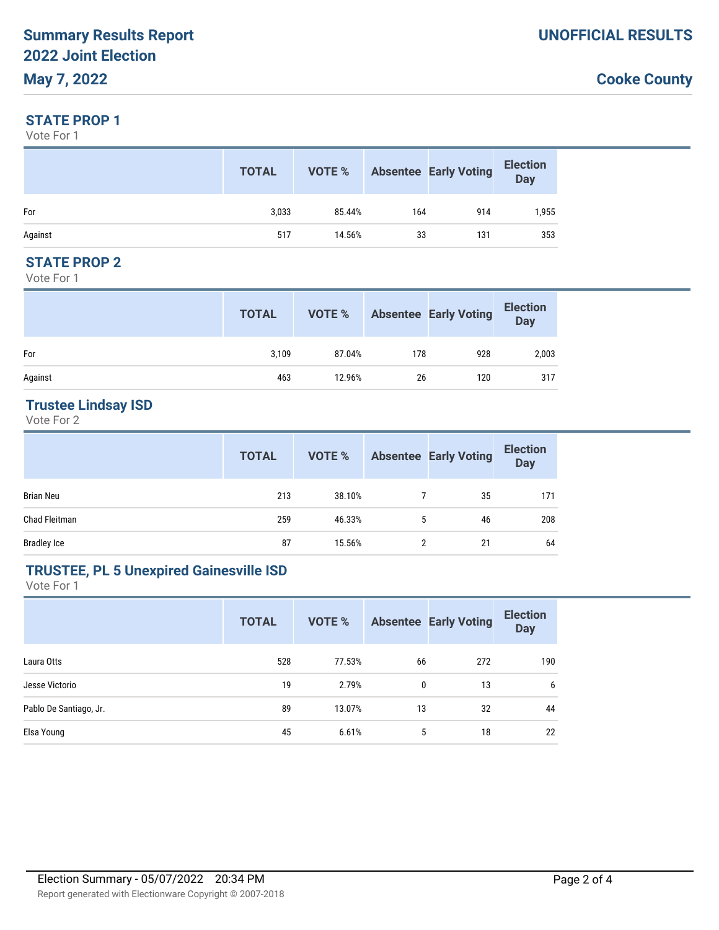## **Cooke County**

#### **STATE PROP 1**

Vote For 1

|         | <b>TOTAL</b> | VOTE % |     | <b>Absentee Early Voting</b> | <b>Election</b><br><b>Day</b> |
|---------|--------------|--------|-----|------------------------------|-------------------------------|
| For     | 3,033        | 85.44% | 164 | 914                          | 1,955                         |
| Against | 517          | 14.56% | 33  | 131                          | 353                           |

#### **STATE PROP 2**

Vote For 1

|         | <b>TOTAL</b> | VOTE % |     | <b>Absentee Early Voting</b> | <b>Election</b><br>Day |
|---------|--------------|--------|-----|------------------------------|------------------------|
| For     | 3,109        | 87.04% | 178 | 928                          | 2,003                  |
| Against | 463          | 12.96% | 26  | 120                          | 317                    |

### **Trustee Lindsay ISD**

Vote For 2

|                    | <b>TOTAL</b> | VOTE % |   | <b>Absentee Early Voting</b> | <b>Election</b><br><b>Day</b> |
|--------------------|--------------|--------|---|------------------------------|-------------------------------|
| <b>Brian Neu</b>   | 213          | 38.10% |   | 35                           | 171                           |
| Chad Fleitman      | 259          | 46.33% | 5 | 46                           | 208                           |
| <b>Bradley Ice</b> | 87           | 15.56% | 2 | 21                           | 64                            |

### **TRUSTEE, PL 5 Unexpired Gainesville ISD**

Vote For 1

|                        | <b>TOTAL</b> | <b>VOTE %</b> |    | <b>Absentee Early Voting</b> | <b>Election</b><br><b>Day</b> |
|------------------------|--------------|---------------|----|------------------------------|-------------------------------|
| Laura Otts             | 528          | 77.53%        | 66 | 272                          | 190                           |
| Jesse Victorio         | 19           | 2.79%         | 0  | 13                           | 6                             |
| Pablo De Santiago, Jr. | 89           | 13.07%        | 13 | 32                           | 44                            |
| Elsa Young             | 45           | 6.61%         | 5  | 18                           | 22                            |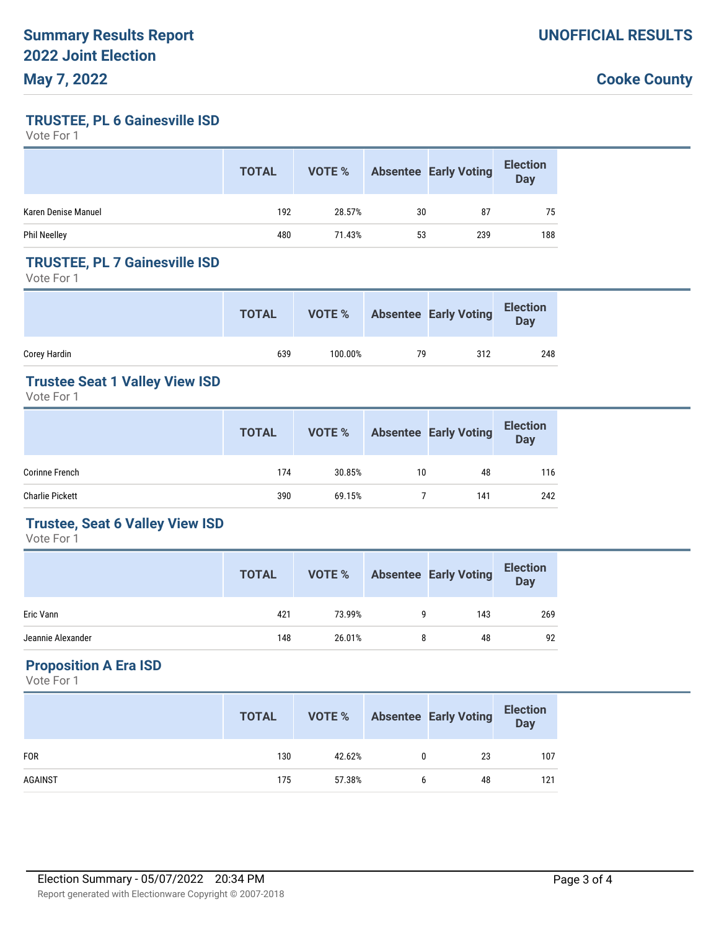### **Cooke County**

**TRUSTEE, PL 6 Gainesville ISD**

Vote For 1

|                     | <b>TOTAL</b> | VOTE % |    | <b>Absentee Early Voting</b> | <b>Election</b><br><b>Day</b> |
|---------------------|--------------|--------|----|------------------------------|-------------------------------|
| Karen Denise Manuel | 192          | 28.57% | 30 | 87                           | 75                            |
| <b>Phil Neelley</b> | 480          | 71.43% | 53 | 239                          | 188                           |

#### **TRUSTEE, PL 7 Gainesville ISD**

Vote For 1

|              | <b>TOTAL</b> | VOTE %  |    | <b>Absentee Early Voting</b> | <b>Election</b><br><b>Day</b> |
|--------------|--------------|---------|----|------------------------------|-------------------------------|
| Corey Hardin | 639          | 100.00% | 79 | 312                          | 248                           |

### **Trustee Seat 1 Valley View ISD**

Vote For 1

|                        | <b>TOTAL</b> | <b>VOTE %</b> |    | <b>Absentee Early Voting</b> | <b>Election</b><br>Day |
|------------------------|--------------|---------------|----|------------------------------|------------------------|
| <b>Corinne French</b>  | 174          | 30.85%        | 10 | 48                           | 116                    |
| <b>Charlie Pickett</b> | 390          | 69.15%        |    | 141                          | 242                    |

#### **Trustee, Seat 6 Valley View ISD**

Vote For 1

|                   | <b>TOTAL</b> | VOTE % |   | <b>Absentee Early Voting</b> | <b>Election</b><br>Day |
|-------------------|--------------|--------|---|------------------------------|------------------------|
| Eric Vann         | 421          | 73.99% |   | 143                          | 269                    |
| Jeannie Alexander | 148          | 26.01% | 8 | 48                           | 92                     |

### **Proposition A Era ISD**

Vote For 1

|            | <b>TOTAL</b> | VOTE % | <b>Absentee Early Voting</b> | <b>Election</b><br>Day |
|------------|--------------|--------|------------------------------|------------------------|
| <b>FOR</b> | 130          | 42.62% | 23                           | 107                    |
| AGAINST    | 175          | 57.38% | 48                           | 121                    |